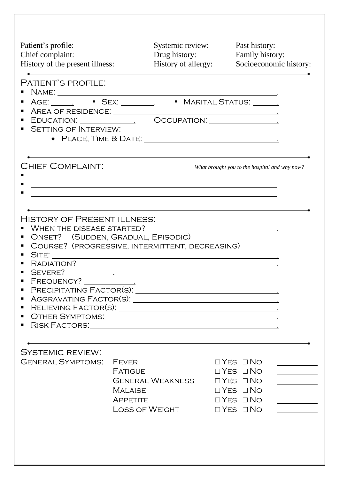| Patient's profile:<br>Chief complaint:<br>History of the present illness:                                                                                                                                                                                                                                                                                                                                                                     |                                                                                       | Systemic review:<br>Drug history:<br>History of allergy: | Past history:                                                                                                                                                                                                                        | Family history:<br>Socioeconomic history: |  |
|-----------------------------------------------------------------------------------------------------------------------------------------------------------------------------------------------------------------------------------------------------------------------------------------------------------------------------------------------------------------------------------------------------------------------------------------------|---------------------------------------------------------------------------------------|----------------------------------------------------------|--------------------------------------------------------------------------------------------------------------------------------------------------------------------------------------------------------------------------------------|-------------------------------------------|--|
| PATIENT'S PROFILE:<br><b>SETTING OF INTERVIEW:</b>                                                                                                                                                                                                                                                                                                                                                                                            |                                                                                       |                                                          |                                                                                                                                                                                                                                      |                                           |  |
| <b>CHIEF COMPLAINT:</b><br><u> 1989 - Johann Stoff, deutscher Stoff, der Stoff, der Stoff, der Stoff, der Stoff, der Stoff, der Stoff, der S</u><br><u> 1989 - Andrea San Andrew Maria (h. 1989).</u><br><u>and the state of the state of the state of the state of the state of the state of the state of the state of the state of the state of the state of the state of the state of the state of the state of the state of the state</u> |                                                                                       |                                                          | What brought you to the hospital and why now?                                                                                                                                                                                        |                                           |  |
| HISTORY OF PRESENT ILLNESS:<br>WHEN THE DISEASE STARTED?<br>ONSET? (SUDDEN, GRADUAL, EPISODIC)<br>COURSE? (PROGRESSIVE, INTERMITTENT, DECREASING)<br>SITE:<br>PRECIPITATING FACTOR(S):<br>ш<br>٠<br>п.                                                                                                                                                                                                                                        |                                                                                       |                                                          | <u>in the contract of the contract of the contract of the contract of the contract of the contract of the contract of the contract of the contract of the contract of the contract of the contract of the contract of the contra</u> |                                           |  |
| <b>SYSTEMIC REVIEW:</b><br><b>GENERAL SYMPTOMS:</b>                                                                                                                                                                                                                                                                                                                                                                                           | <b>FEVER</b><br><b>FATIGUE</b><br><b>MALAISE</b><br><b>APPETITE</b><br>LOSS OF WEIGHT | GENERAL WEAKNESS                                         | $\Box$ YES $\Box$ NO<br>$\Box$ Yes $\Box$ No<br>$\Box$ Yes $\Box$ No<br>$\Box$ Yes $\Box$ No<br>$\Box$ Yes $\Box$ No<br>$\Box$ YES $\Box$ NO                                                                                         | $\overline{\phantom{a}}$                  |  |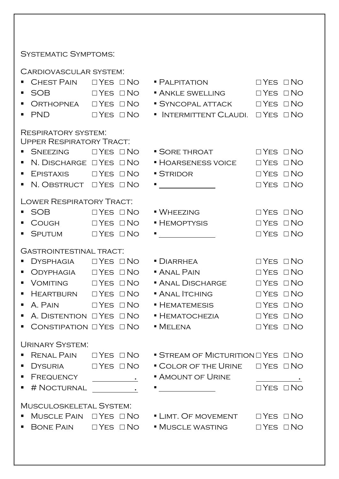## SYSTEMATIC SYMPTOMS:

Cardiovascular system:

| ш              | CHEST PAIN                                                    | $\Box$ YES $\Box$ NO                                                                                                                                                                                                                                                                                                                                                                                                                                   | $\blacksquare$ Palpitation                                | $\Box$ YES $\Box$ NO |  |
|----------------|---------------------------------------------------------------|--------------------------------------------------------------------------------------------------------------------------------------------------------------------------------------------------------------------------------------------------------------------------------------------------------------------------------------------------------------------------------------------------------------------------------------------------------|-----------------------------------------------------------|----------------------|--|
| ш              | <b>SOB</b>                                                    | $\Box$ YES $\Box$ NO                                                                                                                                                                                                                                                                                                                                                                                                                                   | • ANKLE SWELLING                                          | $\Box$ YES $\Box$ NO |  |
| ш              |                                                               |                                                                                                                                                                                                                                                                                                                                                                                                                                                        | • SYNCOPAL ATTACK □ YES □ NO                              |                      |  |
| ٠              | <b>PND</b>                                                    | $\Box$ YES $\Box$ NO                                                                                                                                                                                                                                                                                                                                                                                                                                   | • INTERMITTENT CLAUDI. OYES ONO                           |                      |  |
|                |                                                               |                                                                                                                                                                                                                                                                                                                                                                                                                                                        |                                                           |                      |  |
|                | <b>RESPIRATORY SYSTEM:</b><br><b>UPPER RESPIRATORY TRACT:</b> |                                                                                                                                                                                                                                                                                                                                                                                                                                                        |                                                           |                      |  |
|                | SNEEZING OYES ONO                                             |                                                                                                                                                                                                                                                                                                                                                                                                                                                        | $\blacksquare$ Sore throat                                | $\Box$ YES $\Box$ NO |  |
| ٠              | N. DISCHARGE $\Box$ YES $\Box$ NO                             |                                                                                                                                                                                                                                                                                                                                                                                                                                                        | • HOARSENESS VOICE                                        | $\Box$ Yes $\Box$ No |  |
| ш              | $E$ PISTAXIS $\Box$ YES $\Box$ NO                             |                                                                                                                                                                                                                                                                                                                                                                                                                                                        | · STRIDOR                                                 | $\Box$ Yes $\Box$ No |  |
|                | ■ N. OBSTRUCT □ YES □ NO                                      |                                                                                                                                                                                                                                                                                                                                                                                                                                                        | <u> 1999 - Andrea Sta</u>                                 | $\Box$ Yes $\Box$ No |  |
|                | <b>LOWER RESPIRATORY TRACT:</b>                               |                                                                                                                                                                                                                                                                                                                                                                                                                                                        |                                                           |                      |  |
| $\blacksquare$ | SOB DYES ONO                                                  |                                                                                                                                                                                                                                                                                                                                                                                                                                                        | • WHEEZING                                                | $\Box$ YES $\Box$ NO |  |
| п              | COUGH                                                         | $\Box$ Yes $\Box$ No                                                                                                                                                                                                                                                                                                                                                                                                                                   | • HEMOPTYSIS                                              | $\Box$ Yes $\Box$ No |  |
| $\blacksquare$ | SPUTUM                                                        | $\Box$ Yes $\Box$ No                                                                                                                                                                                                                                                                                                                                                                                                                                   |                                                           | $\Box$ Yes $\Box$ No |  |
|                |                                                               |                                                                                                                                                                                                                                                                                                                                                                                                                                                        |                                                           |                      |  |
|                | <b>GASTROINTESTINAL TRACT:</b>                                |                                                                                                                                                                                                                                                                                                                                                                                                                                                        |                                                           |                      |  |
|                | DYSPHAGIA                                                     | $\Box$ Yes $\Box$ No                                                                                                                                                                                                                                                                                                                                                                                                                                   | $\blacksquare$ DIARRHEA                                   | $\Box$ Yes $\Box$ No |  |
|                |                                                               |                                                                                                                                                                                                                                                                                                                                                                                                                                                        | • ANAL PAIN                                               | $\Box$ YES $\Box$ NO |  |
| ٠              |                                                               |                                                                                                                                                                                                                                                                                                                                                                                                                                                        | • ANAL DISCHARGE                                          | $\Box$ Yes $\Box$ No |  |
| ш              | HEARTBURN OYES ONO                                            |                                                                                                                                                                                                                                                                                                                                                                                                                                                        | · ANAL ITCHING                                            | $\Box$ Yes $\Box$ No |  |
| ш              | A. PAIN                                                       | $\Box$ Yes $\Box$ No                                                                                                                                                                                                                                                                                                                                                                                                                                   | • HEMATEMESIS                                             | $\Box$ YES $\Box$ NO |  |
|                | A. DISTENTION OYES ONO                                        |                                                                                                                                                                                                                                                                                                                                                                                                                                                        | $\blacksquare$ Hematochezia                               | $\Box$ Yes $\Box$ No |  |
| ٠              | CONSTIPATION $\Box$ YES $\Box$ NO                             |                                                                                                                                                                                                                                                                                                                                                                                                                                                        | $\blacksquare$ Melena                                     | $\Box$ Yes $\Box$ No |  |
|                | <b>URINARY SYSTEM:</b>                                        |                                                                                                                                                                                                                                                                                                                                                                                                                                                        |                                                           |                      |  |
|                | RENAL PAIN                                                    | $\Box$ Yes $\Box$ No                                                                                                                                                                                                                                                                                                                                                                                                                                   | $\blacksquare$ STREAM OF MICTURITION $\Box$ YES $\Box$ NO |                      |  |
|                | DYSURIA                                                       | $\Box$ Yes $\Box$ No                                                                                                                                                                                                                                                                                                                                                                                                                                   | • COLOR OF THE URINE                                      | $\Box$ Yes $\Box$ No |  |
| п              | FREQUENCY                                                     | $\label{eq:2.1} \frac{1}{\sqrt{2}}\left(\frac{1}{\sqrt{2}}\right)^{2} \left(\frac{1}{\sqrt{2}}\right)^{2} \left(\frac{1}{\sqrt{2}}\right)^{2} \left(\frac{1}{\sqrt{2}}\right)^{2} \left(\frac{1}{\sqrt{2}}\right)^{2} \left(\frac{1}{\sqrt{2}}\right)^{2} \left(\frac{1}{\sqrt{2}}\right)^{2} \left(\frac{1}{\sqrt{2}}\right)^{2} \left(\frac{1}{\sqrt{2}}\right)^{2} \left(\frac{1}{\sqrt{2}}\right)^{2} \left(\frac{1}{\sqrt{2}}\right)^{2} \left(\$ | • AMOUNT OF URINE                                         |                      |  |
| ٠              | # NOCTURNAL                                                   | $\mathcal{L}^{\text{max}}_{\text{max}}$ and $\mathcal{L}^{\text{max}}_{\text{max}}$ and $\mathcal{L}^{\text{max}}_{\text{max}}$                                                                                                                                                                                                                                                                                                                        |                                                           | $\Box$ YES $\Box$ NO |  |
|                |                                                               |                                                                                                                                                                                                                                                                                                                                                                                                                                                        |                                                           |                      |  |
|                | <b>MUSCULOSKELETAL SYSTEM:</b><br>MUSCLE PAIN                 | $\Box$ YES $\Box$ NO                                                                                                                                                                                                                                                                                                                                                                                                                                   | • LIMT. OF MOVEMENT                                       | $\Box$ Yes $\Box$ No |  |
|                | BONE PAIN $\Box$ YES $\Box$ NO                                |                                                                                                                                                                                                                                                                                                                                                                                                                                                        | • MUSCLE WASTING                                          | $\Box$ Yes $\Box$ No |  |
|                |                                                               |                                                                                                                                                                                                                                                                                                                                                                                                                                                        |                                                           |                      |  |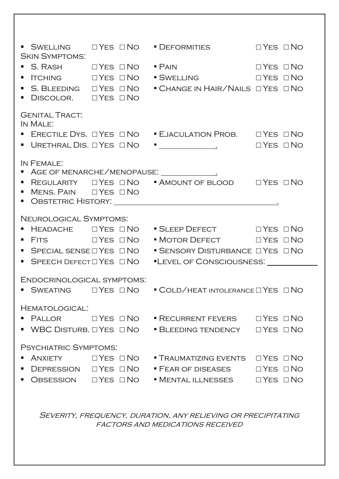| <b>SKIN SYMPTOMS:</b>                               |                      | ■ SWELLING I THES I NO I DEFORMITIES I THES I NO                                                                                           |  |
|-----------------------------------------------------|----------------------|--------------------------------------------------------------------------------------------------------------------------------------------|--|
| $\blacksquare$ S. RASH $\Box$ YES $\Box$ No         |                      | • PAIN DYES ONO                                                                                                                            |  |
| $\blacksquare$ ITCHING $\Box$ YES $\Box$ NO         |                      | SWELLING DYES ONO                                                                                                                          |  |
| $\blacksquare$ S. BLEEDING $\Box$ YES $\Box$ NO     |                      | • CHANGE IN HAIR/NAILS OYES ONO                                                                                                            |  |
| • DISCOLOR. OYES ONO                                |                      |                                                                                                                                            |  |
| <b>GENITAL TRACT:</b><br>IN MALE:                   |                      |                                                                                                                                            |  |
|                                                     |                      | ■ ERECTILE DYS. □ YES □ NO ■ EJACULATION PROB. □ YES □ NO                                                                                  |  |
|                                                     |                      | $\blacksquare$ Urethral Dis. $\Box$ Yes $\Box$ No $\blacksquare$ $\blacksquare$ $\blacksquare$ $\blacksquare$ $\blacksquare$ Yes $\Box$ No |  |
| IN FEMALE:                                          |                      |                                                                                                                                            |  |
|                                                     |                      | AGE OF MENARCHE/MENOPAUSE: 1988                                                                                                            |  |
| $\blacksquare$ Mens. Pain $\Box$ Yes $\Box$ No      |                      | ■ REGULARITY □ YES □ NO ■ AMOUNT OF BLOOD · □ YES □ NO                                                                                     |  |
|                                                     |                      |                                                                                                                                            |  |
| NEUROLOGICAL SYMPTOMS:                              |                      |                                                                                                                                            |  |
| $\blacksquare$ Headache $\Box$ Yes $\Box$ No        |                      | ■ SLEEP DEFECT Q YES ONO                                                                                                                   |  |
| $\blacksquare$ Fits $\Box$ Yes $\Box$ No            |                      | • MOTOR DEFECT DYES ONO                                                                                                                    |  |
| SPECIAL SENSE $\Box$ YES $\Box$ NO                  |                      | $\blacksquare$ SENSORY DISTURBANCE $\square$ YES $\square$ NO                                                                              |  |
| $\;\;\bar{}\;$ Speech Defect $\Box$ Yes $\;\Box$ No |                      | "LEVEL OF CONSCIOUSNESS: __________                                                                                                        |  |
| ENDOCRINOLOGICAL SYMPTOMS.                          |                      |                                                                                                                                            |  |
|                                                     |                      | $\blacksquare$ SWEATING $\Box$ YES $\Box$ NO $\blacksquare$ COLD/HEAT INTOLERANCE $\Box$ YES $\Box$ NO                                     |  |
| HEMATOLOGICAL:                                      |                      |                                                                                                                                            |  |
| Pallor                                              | $\Box$ Yes $\Box$ No | $\blacksquare$ RECURRENT FEVERS $\Box$ YES $\Box$ NO                                                                                       |  |
| $\blacksquare$ WBC Disturb. $\Box$ Yes $\Box$ No    |                      | • BLEEDING TENDENCY O YES ONO                                                                                                              |  |
|                                                     |                      |                                                                                                                                            |  |
| PSYCHIATRIC SYMPTOMS:                               |                      |                                                                                                                                            |  |
| ANXIETY                                             | $\Box$ Yes $\Box$ No | $\blacksquare$ Traumatizing events $\square$ Yes $\square$ No                                                                              |  |
| $DEFRESSON$ $\Box$ YES $\Box$ NO                    |                      | $\blacksquare$ Fear of diseases $\square$ Yes $\square$ No                                                                                 |  |
| $O$ BSESSION $\Box$ YES $\Box$ NO                   |                      | $\blacksquare$ Mental illnesses $\Box$ Yes $\Box$ No                                                                                       |  |
|                                                     |                      |                                                                                                                                            |  |
|                                                     |                      | SEVERITY, FREQUENCY, DURATION, ANY RELIEVING OR PRECIPITATING                                                                              |  |
|                                                     |                      | <b>FACTORS AND MEDICATIONS RECEIVED</b>                                                                                                    |  |
|                                                     |                      |                                                                                                                                            |  |
|                                                     |                      |                                                                                                                                            |  |